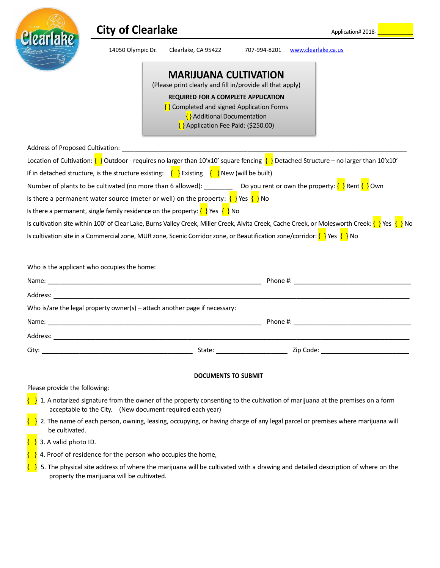

| earlake  | <b>City of Clearlake</b>                                                                                                          | Application# 2018-                                                                                                                                                                                                                                              |              |                                                                                                                                                                                                                                |
|----------|-----------------------------------------------------------------------------------------------------------------------------------|-----------------------------------------------------------------------------------------------------------------------------------------------------------------------------------------------------------------------------------------------------------------|--------------|--------------------------------------------------------------------------------------------------------------------------------------------------------------------------------------------------------------------------------|
|          | 14050 Olympic Dr.                                                                                                                 | Clearlake, CA 95422                                                                                                                                                                                                                                             | 707-994-8201 | www.clearlake.ca.us                                                                                                                                                                                                            |
|          |                                                                                                                                   | <b>MARIJUANA CULTIVATION</b><br>(Please print clearly and fill in/provide all that apply)<br>REQUIRED FOR A COMPLETE APPLICATION<br>$\{ \}$ Completed and signed Application Forms<br>$\{ \}$ Additional Documentation<br>$\{$ Application Fee Paid: (\$250.00) |              |                                                                                                                                                                                                                                |
|          |                                                                                                                                   |                                                                                                                                                                                                                                                                 |              |                                                                                                                                                                                                                                |
|          |                                                                                                                                   |                                                                                                                                                                                                                                                                 |              | Location of Cultivation: $\{\}$ Outdoor - requires no larger than 10'x10' square fencing $\{\}$ Detached Structure – no larger than 10'x10'                                                                                    |
|          | If in detached structure, is the structure existing: $\{ \}$ Existing $\{ \}$ New (will be built)                                 |                                                                                                                                                                                                                                                                 |              |                                                                                                                                                                                                                                |
|          | Is there a permanent water source (meter or well) on the property: $\{ \}$ Yes $\{ \}$ No                                         |                                                                                                                                                                                                                                                                 |              | Number of plants to be cultivated (no more than 6 allowed): ___________ Do you rent or own the property: $\{\}\$ Rent $\{\}$ Own                                                                                               |
|          | Is there a permanent, single family residence on the property: $\{\}$ Yes $\{\}$ No                                               |                                                                                                                                                                                                                                                                 |              |                                                                                                                                                                                                                                |
|          |                                                                                                                                   |                                                                                                                                                                                                                                                                 |              | Is cultivation site within 100' of Clear Lake, Burns Valley Creek, Miller Creek, Alvita Creek, Cache Creek, or Molesworth Creek: $\{\ \}$ Yes $\{\ \}$ No                                                                      |
|          | Is cultivation site in a Commercial zone, MUR zone, Scenic Corridor zone, or Beautification zone/corridor: $\{\}\$ Yes $\{\}\$ No |                                                                                                                                                                                                                                                                 |              |                                                                                                                                                                                                                                |
|          | Who is the applicant who occupies the home:                                                                                       |                                                                                                                                                                                                                                                                 |              |                                                                                                                                                                                                                                |
|          |                                                                                                                                   |                                                                                                                                                                                                                                                                 |              | Phone #: the contract of the contract of the contract of the contract of the contract of the contract of the contract of the contract of the contract of the contract of the contract of the contract of the contract of the c |
| Address: |                                                                                                                                   |                                                                                                                                                                                                                                                                 |              |                                                                                                                                                                                                                                |
|          | Who is/are the legal property owner(s) - attach another page if necessary:                                                        |                                                                                                                                                                                                                                                                 |              |                                                                                                                                                                                                                                |

| ال محمد من من المسلمان المسلمان المسلمان المسلمان المسلمان المسلمان المسلمان المسلمان المسلمان المسلمان المسلم |        |           |  |  |  |  |
|----------------------------------------------------------------------------------------------------------------|--------|-----------|--|--|--|--|
| Name:                                                                                                          |        | Phone #:  |  |  |  |  |
| Address:                                                                                                       |        |           |  |  |  |  |
| City:                                                                                                          | State: | Zip Code: |  |  |  |  |

## **DOCUMENTS TO SUBMIT**

Please provide the following:

- $\}$  1. A notarized signature from the owner of the property consenting to the cultivation of marijuana at the premises on a form acceptable to the City. (New document required each year)
- { } 2. The name of each person, owning, leasing, occupying, or having charge of any legal parcel or premises where marijuana will be cultivated.
- $\{ \}$  3. A valid photo ID.
- $\frac{1}{2}$  4. Proof of residence for the person who occupies the home,
- $\{\}$  5. The physical site address of where the marijuana will be cultivated with a drawing and detailed description of where on the property the marijuana will be cultivated.